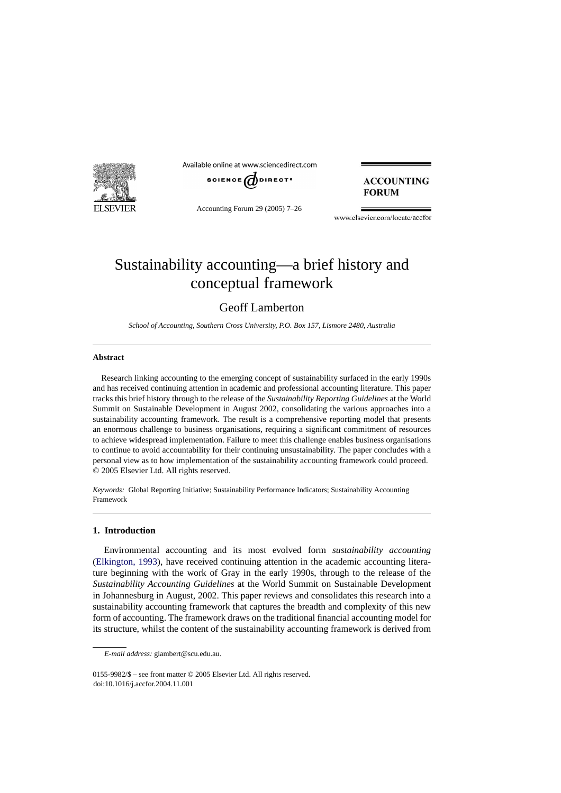

Available online at www.sciencedirect.com



Accounting Forum 29 (2005) 7–26

**ACCOUNTING FORUM** 

www.elsevier.com/locate/accfor

# Sustainability accounting—a brief history and conceptual framework

Geoff Lamberton

*School of Accounting, Southern Cross University, P.O. Box 157, Lismore 2480, Australia*

## **Abstract**

Research linking accounting to the emerging concept of sustainability surfaced in the early 1990s and has received continuing attention in academic and professional accounting literature. This paper tracks this brief history through to the release of the *Sustainability Reporting Guidelines* at the World Summit on Sustainable Development in August 2002, consolidating the various approaches into a sustainability accounting framework. The result is a comprehensive reporting model that presents an enormous challenge to business organisations, requiring a significant commitment of resources to achieve widespread implementation. Failure to meet this challenge enables business organisations to continue to avoid accountability for their continuing unsustainability. The paper concludes with a personal view as to how implementation of the sustainability accounting framework could proceed. © 2005 Elsevier Ltd. All rights reserved.

*Keywords:* Global Reporting Initiative; Sustainability Performance Indicators; Sustainability Accounting Framework

### **1. Introduction**

Environmental accounting and its most evolved form *sustainability accounting* ([Elkington, 1993\),](#page--1-0) have received continuing attention in the academic accounting literature beginning with the work of Gray in the early 1990s, through to the release of the *Sustainability Accounting Guidelines* at the World Summit on Sustainable Development in Johannesburg in August, 2002. This paper reviews and consolidates this research into a sustainability accounting framework that captures the breadth and complexity of this new form of accounting. The framework draws on the traditional financial accounting model for its structure, whilst the content of the sustainability accounting framework is derived from

*E-mail address:* glambert@scu.edu.au.

<sup>0155-9982/\$ –</sup> see front matter © 2005 Elsevier Ltd. All rights reserved. doi:10.1016/j.accfor.2004.11.001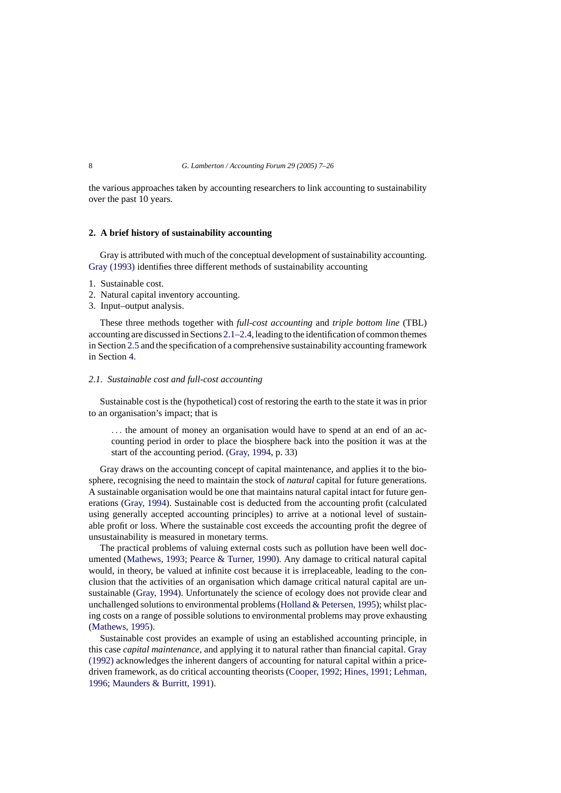the various approaches taken by accounting researchers to link accounting to sustainability over the past 10 years.

#### **2. A brief history of sustainability accounting**

Gray is attributed with much of the conceptual development of sustainability accounting. [Gray \(1993\)](#page--1-0) identifies three different methods of sustainability accounting

- 1. Sustainable cost.
- 2. Natural capital inventory accounting.
- 3. Input–output analysis.

These three methods together with *full-cost accounting* and *triple bottom line* (TBL) accounting are discussed in Sections 2.1–2.4, leading to the identification of common themes in Section [2.5](#page--1-0) and the specification of a comprehensive sustainability accounting framework in Section [4.](#page--1-0)

### *2.1. Sustainable cost and full-cost accounting*

Sustainable cost is the (hypothetical) cost of restoring the earth to the state it was in prior to an organisation's impact; that is

... the amount of money an organisation would have to spend at an end of an accounting period in order to place the biosphere back into the position it was at the start of the accounting period. [\(Gray, 1994,](#page--1-0) p. 33)

Gray draws on the accounting concept of capital maintenance, and applies it to the biosphere, recognising the need to maintain the stock of *natural* capital for future generations. A sustainable organisation would be one that maintains natural capital intact for future generations ([Gray, 1994\).](#page--1-0) Sustainable cost is deducted from the accounting profit (calculated using generally accepted accounting principles) to arrive at a notional level of sustainable profit or loss. Where the sustainable cost exceeds the accounting profit the degree of unsustainability is measured in monetary terms.

The practical problems of valuing external costs such as pollution have been well documented ([Mathews, 1993;](#page--1-0) [Pearce & Turner, 1990\).](#page--1-0) Any damage to critical natural capital would, in theory, be valued at infinite cost because it is irreplaceable, leading to the conclusion that the activities of an organisation which damage critical natural capital are unsustainable [\(Gray, 1994\).](#page--1-0) Unfortunately the science of ecology does not provide clear and unchallenged solutions to environmental problems [\(Holland & Petersen, 1995\);](#page--1-0) whilst placing costs on a range of possible solutions to environmental problems may prove exhausting [\(Mathews, 1995\).](#page--1-0)

Sustainable cost provides an example of using an established accounting principle, in this case *capital maintenance*, and applying it to natural rather than financial capital. [Gray](#page--1-0) [\(1992\)](#page--1-0) acknowledges the inherent dangers of accounting for natural capital within a pricedriven framework, as do critical accounting theorists ([Cooper, 1992; Hines, 1991; Lehman,](#page--1-0) [1996;](#page--1-0) [Maunders & Burritt, 1991\).](#page--1-0)